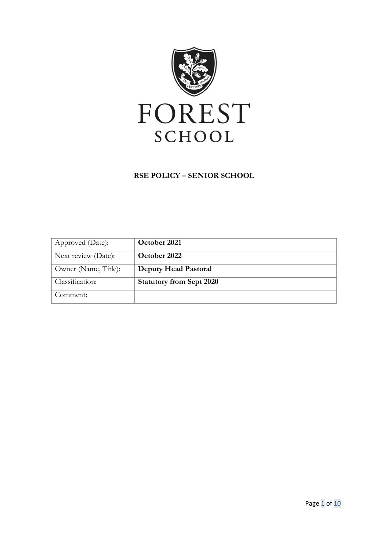

### **RSE POLICY – SENIOR SCHOOL**

| Approved (Date):     | October 2021                    |
|----------------------|---------------------------------|
| Next review (Date):  | October 2022                    |
| Owner (Name, Title): | <b>Deputy Head Pastoral</b>     |
| Classification:      | <b>Statutory from Sept 2020</b> |
| Comment:             |                                 |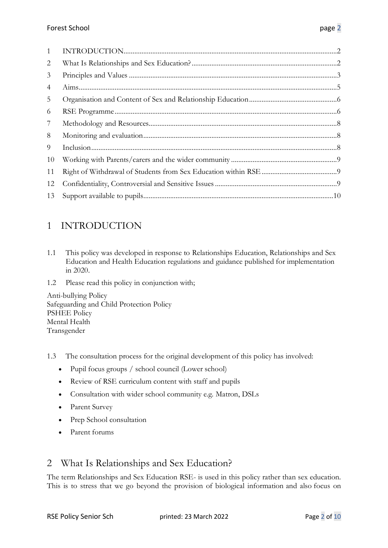| 1  |  |
|----|--|
| 2  |  |
| 3  |  |
| 4  |  |
| 5  |  |
| 6  |  |
| 7  |  |
| 8  |  |
| 9  |  |
| 10 |  |
| 11 |  |
| 12 |  |
| 13 |  |

# <span id="page-1-0"></span>1 INTRODUCTION

- 1.1 This policy was developed in response to Relationships Education, Relationships and Sex Education and Health Education regulations and guidance published for implementation in 2020.
- 1.2 Please read this policy in conjunction with;

Anti-bullying Policy Safeguarding and Child Protection Policy PSHEE Policy Mental Health Transgender

- 1.3 The consultation process for the original development of this policy has involved:
	- Pupil focus groups / school council (Lower school)
	- Review of RSE curriculum content with staff and pupils
	- Consultation with wider school community e.g. Matron, DSLs
	- Parent Survey
	- Prep School consultation
	- Parent forums

## <span id="page-1-1"></span>2 What Is Relationships and Sex Education?

The term Relationships and Sex Education RSE- is used in this policy rather than sex education. This is to stress that we go beyond the provision of biological information and also focus on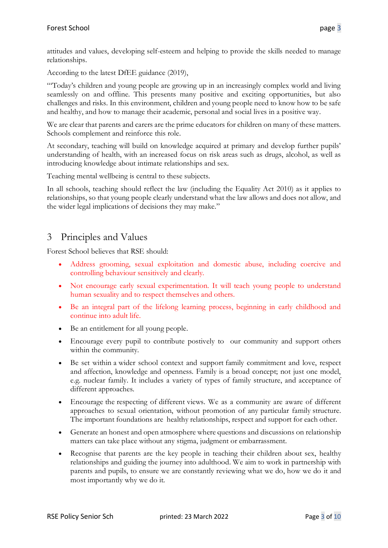attitudes and values, developing self-esteem and helping to provide the skills needed to manage relationships.

According to the latest DfEE guidance (2019),

"'Today's children and young people are growing up in an increasingly complex world and living seamlessly on and offline. This presents many positive and exciting opportunities, but also challenges and risks. In this environment, children and young people need to know how to be safe and healthy, and how to manage their academic, personal and social lives in a positive way.

We are clear that parents and carers are the prime educators for children on many of these matters. Schools complement and reinforce this role.

At secondary, teaching will build on knowledge acquired at primary and develop further pupils' understanding of health, with an increased focus on risk areas such as drugs, alcohol, as well as introducing knowledge about intimate relationships and sex.

Teaching mental wellbeing is central to these subjects.

In all schools, teaching should reflect the law (including the Equality Act 2010) as it applies to relationships, so that young people clearly understand what the law allows and does not allow, and the wider legal implications of decisions they may make."

## <span id="page-2-0"></span>3 Principles and Values

Forest School believes that RSE should:

- Address grooming, sexual exploitation and domestic abuse, including coercive and controlling behaviour sensitively and clearly.
- Not encourage early sexual experimentation. It will teach young people to understand human sexuality and to respect themselves and others.
- Be an integral part of the lifelong learning process, beginning in early childhood and continue into adult life.
- Be an entitlement for all young people.
- Encourage every pupil to contribute postively to our community and support others within the community.
- Be set within a wider school context and support family commitment and love, respect and affection, knowledge and openness. Family is a broad concept; not just one model, e.g. nuclear family. It includes a variety of types of family structure, and acceptance of different approaches.
- Encourage the respecting of different views. We as a community are aware of different approaches to sexual orientation, without promotion of any particular family structure. The important foundations are healthy relationships, respect and support for each other.
- Generate an honest and open atmosphere where questions and discussions on relationship matters can take place without any stigma, judgment or embarrassment.
- Recognise that parents are the key people in teaching their children about sex, healthy relationships and guiding the journey into adulthood. We aim to work in partnership with parents and pupils, to ensure we are constantly reviewing what we do, how we do it and most importantly why we do it.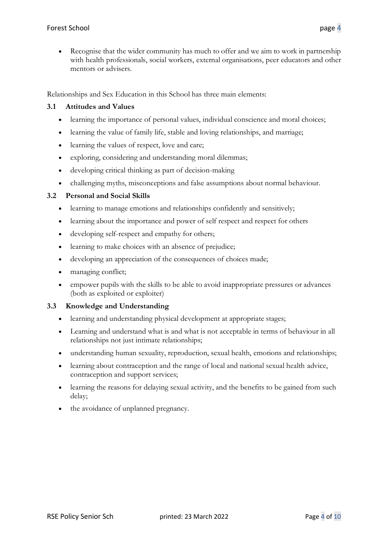• Recognise that the wider community has much to offer and we aim to work in partnership with health professionals, social workers, external organisations, peer educators and other mentors or advisers.

Relationships and Sex Education in this School has three main elements:

### **3.1 Attitudes and Values**

- learning the importance of personal values, individual conscience and moral choices;
- learning the value of family life, stable and loving relationships, and marriage;
- learning the values of respect, love and care;
- exploring, considering and understanding moral dilemmas;
- developing critical thinking as part of decision-making
- challenging myths, misconceptions and false assumptions about normal behaviour.

#### **3.2 Personal and Social Skills**

- learning to manage emotions and relationships confidently and sensitively;
- learning about the importance and power of self respect and respect for others
- developing self-respect and empathy for others;
- learning to make choices with an absence of prejudice;
- developing an appreciation of the consequences of choices made;
- managing conflict;
- empower pupils with the skills to be able to avoid inappropriate pressures or advances (both as exploited or exploiter)

#### **3.3 Knowledge and Understanding**

- learning and understanding physical development at appropriate stages;
- Learning and understand what is and what is not acceptable in terms of behaviour in all relationships not just intimate relationships;
- understanding human sexuality, reproduction, sexual health, emotions and relationships;
- learning about contraception and the range of local and national sexual health advice, contraception and support services;
- learning the reasons for delaying sexual activity, and the benefits to be gained from such delay;
- the avoidance of unplanned pregnancy.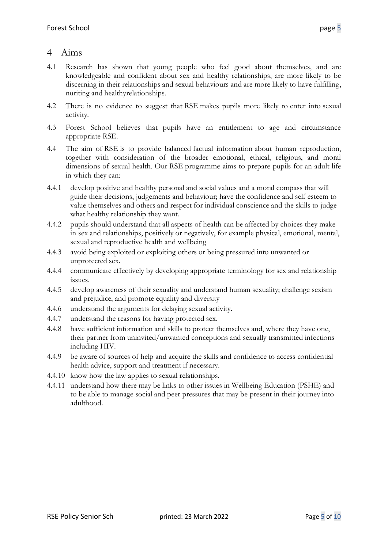### <span id="page-4-0"></span>4 Aims

- 4.1 Research has shown that young people who feel good about themselves, and are knowledgeable and confident about sex and healthy relationships, are more likely to be discerning in their relationships and sexual behaviours and are more likely to have fulfilling, nuriting and healthyrelationships.
- 4.2 There is no evidence to suggest that RSE makes pupils more likely to enter into sexual activity.
- 4.3 Forest School believes that pupils have an entitlement to age and circumstance appropriate RSE.
- 4.4 The aim of RSE is to provide balanced factual information about human reproduction, together with consideration of the broader emotional, ethical, religious, and moral dimensions of sexual health. Our RSE programme aims to prepare pupils for an adult life in which they can:
- 4.4.1 develop positive and healthy personal and social values and a moral compass that will guide their decisions, judgements and behaviour; have the confidence and self esteem to value themselves and others and respect for individual conscience and the skills to judge what healthy relationship they want.
- 4.4.2 pupils should understand that all aspects of health can be affected by choices they make in sex and relationships, positively or negatively, for example physical, emotional, mental, sexual and reproductive health and wellbeing
- 4.4.3 avoid being exploited or exploiting others or being pressured into unwanted or unprotected sex.
- 4.4.4 communicate effectively by developing appropriate terminology for sex and relationship issues.
- 4.4.5 develop awareness of their sexuality and understand human sexuality; challenge sexism and prejudice, and promote equality and diversity
- 4.4.6 understand the arguments for delaying sexual activity.
- 4.4.7 understand the reasons for having protected sex.
- 4.4.8 have sufficient information and skills to protect themselves and, where they have one, their partner from uninvited/unwanted conceptions and sexually transmitted infections including HIV.
- 4.4.9 be aware of sources of help and acquire the skills and confidence to access confidential health advice, support and treatment if necessary.
- 4.4.10 know how the law applies to sexual relationships.
- 4.4.11 understand how there may be links to other issues in Wellbeing Education (PSHE) and to be able to manage social and peer pressures that may be present in their journey into adulthood.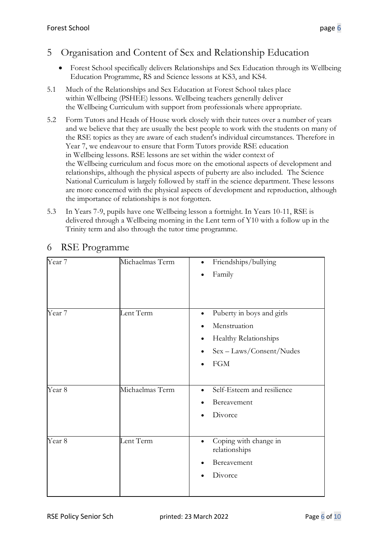## <span id="page-5-0"></span>5 Organisation and Content of Sex and Relationship Education

- Forest School specifically delivers Relationships and Sex Education through its Wellbeing Education Programme, RS and Science lessons at KS3, and KS4.
- 5.1 Much of the Relationships and Sex Education at Forest School takes place within Wellbeing (PSHEE) lessons. Wellbeing teachers generally deliver the Wellbeing Curriculum with support from professionals where appropriate.
- 5.2 Form Tutors and Heads of House work closely with their tutees over a number of years and we believe that they are usually the best people to work with the students on many of the RSE topics as they are aware of each student's individual circumstances. Therefore in Year 7, we endeavour to ensure that Form Tutors provide RSE education in Wellbeing lessons. RSE lessons are set within the wider context of the Wellbeing curriculum and focus more on the emotional aspects of development and relationships, although the physical aspects of puberty are also included. The Science National Curriculum is largely followed by staff in the science department. These lessons are more concerned with the physical aspects of development and reproduction, although the importance of relationships is not forgotten.
- 5.3 In Years 7-9, pupils have one Wellbeing lesson a fortnight. In Years 10-11, RSE is delivered through a Wellbeing morning in the Lent term of Y10 with a follow up in the Trinity term and also through the tutor time programme.

| Year 7            | Michaelmas Term | Friendships/bullying<br>$\bullet$<br>Family<br>٠                                                                               |
|-------------------|-----------------|--------------------------------------------------------------------------------------------------------------------------------|
| Year 7            | Lent Term       | Puberty in boys and girls<br>$\bullet$<br>Menstruation<br>Healthy Relationships<br>٠<br>Sex - Laws/Consent/Nudes<br><b>FGM</b> |
| Year <sub>8</sub> | Michaelmas Term | Self-Esteem and resilience<br>Bereavement<br>Divorce                                                                           |
| Year <sub>8</sub> | Lent Term       | Coping with change in<br>$\bullet$<br>relationships<br>Bereavement<br>Divorce                                                  |

## <span id="page-5-1"></span>6 RSE Programme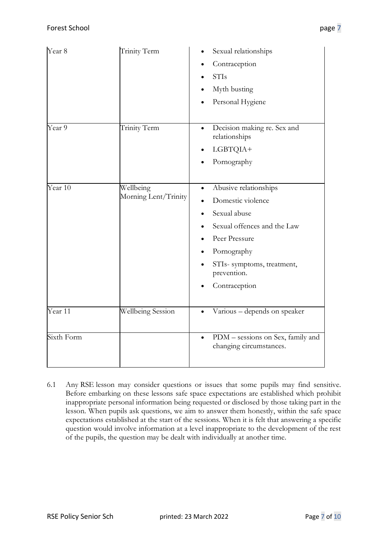| Year 8     | Trinity Term                      | Sexual relationships<br>Contraception<br><b>STIs</b><br>Myth busting<br>Personal Hygiene                                                                                                             |
|------------|-----------------------------------|------------------------------------------------------------------------------------------------------------------------------------------------------------------------------------------------------|
| Year 9     | Trinity Term                      | Decision making re. Sex and<br>$\bullet$<br>relationships<br>LGBTQIA+<br>٠<br>Pornography                                                                                                            |
| Year 10    | Wellbeing<br>Morning Lent/Trinity | Abusive relationships<br>$\bullet$<br>Domestic violence<br>Sexual abuse<br>Sexual offences and the Law<br>Peer Pressure<br>Pornography<br>STIs- symptoms, treatment,<br>prevention.<br>Contraception |
| Year 11    | <b>Wellbeing Session</b>          | Various - depends on speaker                                                                                                                                                                         |
| Sixth Form |                                   | PDM - sessions on Sex, family and<br>$\bullet$<br>changing circumstances.                                                                                                                            |

6.1 Any RSE lesson may consider questions or issues that some pupils may find sensitive. Before embarking on these lessons safe space expectations are established which prohibit inappropriate personal information being requested or disclosed by those taking part in the lesson. When pupils ask questions, we aim to answer them honestly, within the safe space expectations established at the start of the sessions. When it is felt that answering a specific question would involve information at a level inappropriate to the development of the rest of the pupils, the question may be dealt with individually at another time.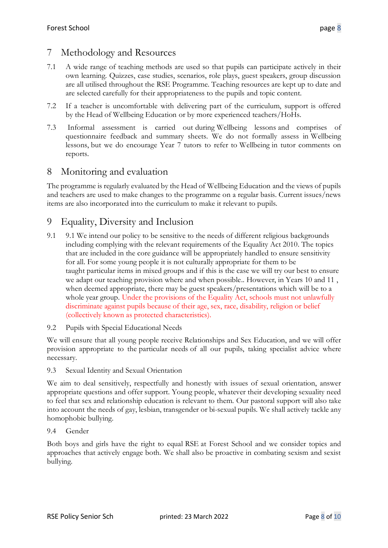## <span id="page-7-0"></span>7 Methodology and Resources

- 7.1 A wide range of teaching methods are used so that pupils can participate actively in their own learning. Quizzes, case studies, scenarios, role plays, guest speakers, group discussion are all utilised throughout the RSE Programme. Teaching resources are kept up to date and are selected carefully for their appropriateness to the pupils and topic content.
- 7.2 If a teacher is uncomfortable with delivering part of the curriculum, support is offered by the Head of Wellbeing Education or by more experienced teachers/HoHs.
- 7.3 Informal assessment is carried out during Wellbeing lessons and comprises of questionnaire feedback and summary sheets. We do not formally assess in Wellbeing lessons, but we do encourage Year 7 tutors to refer to Wellbeing in tutor comments on reports.

## <span id="page-7-1"></span>8 Monitoring and evaluation

The programme is regularly evaluated by the Head of Wellbeing Education and the views of pupils and teachers are used to make changes to the programme on a regular basis. Current issues/news items are also incorporated into the curriculum to make it relevant to pupils.

# 9 Equality, Diversity and Inclusion

- 9.1 9.1 We intend our policy to be sensitive to the needs of different religious backgrounds including complying with the relevant requirements of the Equality Act 2010. The topics that are included in the core guidance will be appropriately handled to ensure sensitivity for all. For some young people it is not culturally appropriate for them to be taught particular items in mixed groups and if this is the case we will try our best to ensure we adapt our teaching provision where and when possible.. However, in Years 10 and 11 , when deemed appropriate, there may be guest speakers/presentations which will be to a whole year group. Under the provisions of the Equality Act, schools must not unlawfully discriminate against pupils because of their age, sex, race, disability, religion or belief (collectively known as protected characteristics).
- 9.2 Pupils with Special Educational Needs

We will ensure that all young people receive Relationships and Sex Education, and we will offer provision appropriate to the particular needs of all our pupils, taking specialist advice where necessary.

### 9.3 Sexual Identity and Sexual Orientation

We aim to deal sensitively, respectfully and honestly with issues of sexual orientation, answer appropriate questions and offer support. Young people, whatever their developing sexuality need to feel that sex and relationship education is relevant to them. Our pastoral support will also take into account the needs of gay, lesbian, transgender or bi-sexual pupils. We shall actively tackle any homophobic bullying.

### 9.4 Gender

Both boys and girls have the right to equal RSE at Forest School and we consider topics and approaches that actively engage both. We shall also be proactive in combating sexism and sexist bullying.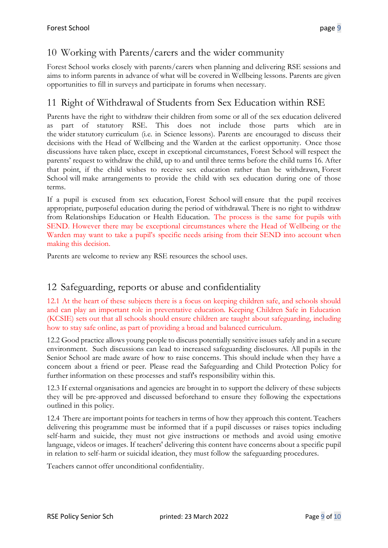# <span id="page-8-0"></span>10 Working with Parents/carers and the wider community

Forest School works closely with parents/carers when planning and delivering RSE sessions and aims to inform parents in advance of what will be covered in Wellbeing lessons. Parents are given opportunities to fill in surveys and participate in forums when necessary.

# <span id="page-8-1"></span>11 Right of Withdrawal of Students from Sex Education within RSE

Parents have the right to withdraw their children from some or all of the sex education delivered as part of statutory RSE. This does not include those parts which are in the wider statutory curriculum (i.e. in Science lessons). Parents are encouraged to discuss their decisions with the Head of Wellbeing and the Warden at the earliest opportunity. Once those discussions have taken place, except in exceptional circumstances, Forest School will respect the parents' request to withdraw the child, up to and until three terms before the child turns 16. After that point, if the child wishes to receive sex education rather than be withdrawn, Forest School will make arrangements to provide the child with sex education during one of those terms.

If a pupil is excused from sex education, Forest School will ensure that the pupil receives appropriate, purposeful education during the period of withdrawal. There is no right to withdraw from Relationships Education or Health Education. The process is the same for pupils with SEND. However there may be exceptional circumstances where the Head of Wellbeing or the Warden may want to take a pupil's specific needs arising from their SEND into account when making this decision.

Parents are welcome to review any RSE resources the school uses.

# <span id="page-8-2"></span>12 Safeguarding, reports or abuse and confidentiality

12.1 At the heart of these subjects there is a focus on keeping children safe, and schools should and can play an important role in preventative education. Keeping Children Safe in Education (KCSIE) sets out that all schools should ensure children are taught about safeguarding, including how to stay safe online, as part of providing a broad and balanced curriculum.

12.2 Good practice allows young people to discuss potentially sensitive issues safely and in a secure environment. Such discussions can lead to increased safeguarding disclosures. All pupils in the Senior School are made aware of how to raise concerns. This should include when they have a concern about a friend or peer. Please read the Safeguarding and Child Protection Policy for further information on these processes and staff's responsibility within this.

12.3 If external organisations and agencies are brought in to support the delivery of these subjects they will be pre-approved and discussed beforehand to ensure they following the expectations outlined in this policy.

12.4 There are important points for teachers in terms of how they approach this content. Teachers delivering this programme must be informed that if a pupil discusses or raises topics including self-harm and suicide, they must not give instructions or methods and avoid using emotive language, videos or images. If teachers' delivering this content have concerns about a specific pupil in relation to self-harm or suicidal ideation, they must follow the safeguarding procedures.

Teachers cannot offer unconditional confidentiality.